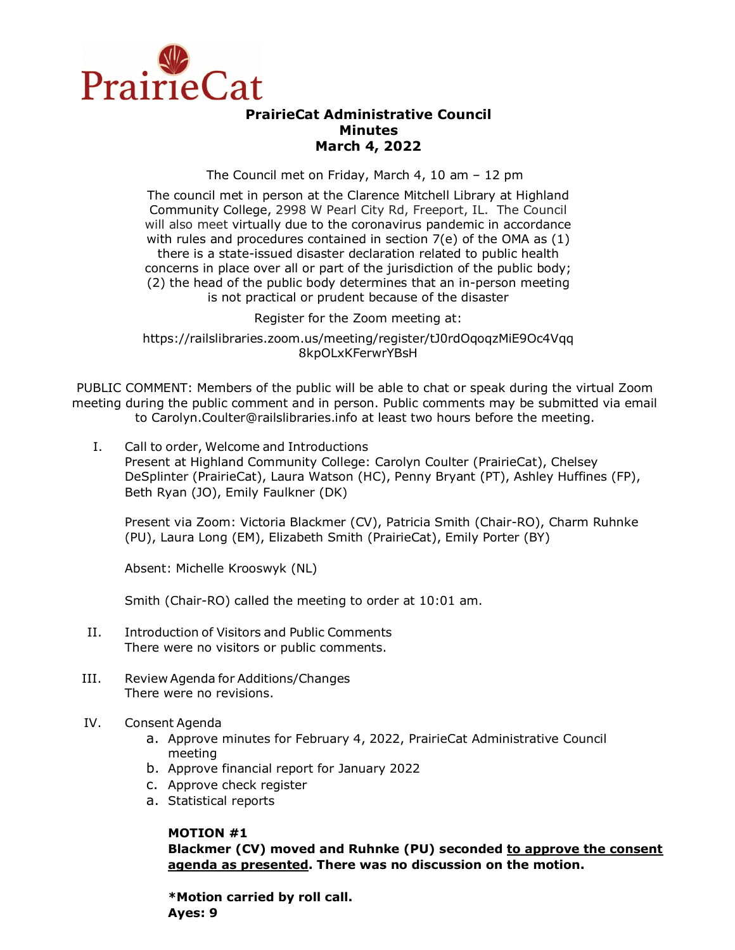

# **PrairieCat Administrative Council Minutes March 4, 2022**

The Council met on Friday, March 4, 10 am – 12 pm

The council met in person at the Clarence Mitchell Library at Highland Community College, 2998 W Pearl City Rd, Freeport, IL. The Council will also meet virtually due to the coronavirus pandemic in accordance with rules and procedures contained in section  $7(e)$  of the OMA as  $(1)$ there is a state-issued disaster declaration related to public health concerns in place over all or part of the jurisdiction of the public body; (2) the head of the public body determines that an in-person meeting is not practical or prudent because of the disaster

Register for the Zoom meeting at:

https://railslibraries.zoom.us/meeting/register/tJ0rdOqoqzMiE9Oc4Vqq 8kpOLxKFerwrYBsH

PUBLIC COMMENT: Members of the public will be able to chat or speak during the virtual Zoom meeting during the public comment and in person. Public comments may be submitted via email to Carolyn.Coulter@railslibraries.info at least two hours before the meeting.

I. Call to order, Welcome and Introductions Present at Highland Community College: Carolyn Coulter (PrairieCat), Chelsey DeSplinter (PrairieCat), Laura Watson (HC), Penny Bryant (PT), Ashley Huffines (FP), Beth Ryan (JO), Emily Faulkner (DK)

Present via Zoom: Victoria Blackmer (CV), Patricia Smith (Chair-RO), Charm Ruhnke (PU), Laura Long (EM), Elizabeth Smith (PrairieCat), Emily Porter (BY)

Absent: Michelle Krooswyk (NL)

Smith (Chair-RO) called the meeting to order at 10:01 am.

- II. Introduction of Visitors and Public Comments There were no visitors or public comments.
- III. Review Agenda for Additions/Changes There were no revisions.
- IV. Consent Agenda
	- a. Approve minutes for February 4, 2022, PrairieCat Administrative Council meeting
	- b. Approve financial report for January 2022
	- c. Approve check register
	- a. Statistical reports

## **MOTION #1**

**Blackmer (CV) moved and Ruhnke (PU) seconded to approve the consent agenda as presented. There was no discussion on the motion.** 

**\*Motion carried by roll call. Ayes: 9**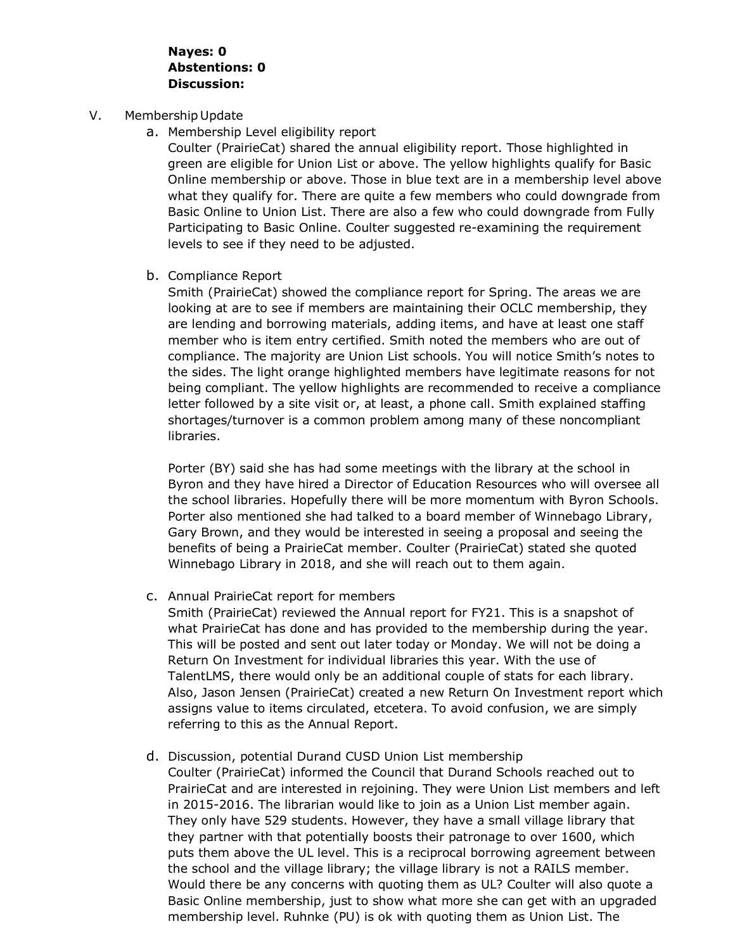## **Nayes: 0 Abstentions: 0 Discussion:**

- V. Membership Update
	- a. Membership Level eligibility report

Coulter (PrairieCat) shared the annual eligibility report. Those highlighted in green are eligible for Union List or above. The yellow highlights qualify for Basic Online membership or above. Those in blue text are in a membership level above what they qualify for. There are quite a few members who could downgrade from Basic Online to Union List. There are also a few who could downgrade from Fully Participating to Basic Online. Coulter suggested re-examining the requirement levels to see if they need to be adjusted.

b. Compliance Report

Smith (PrairieCat) showed the compliance report for Spring. The areas we are looking at are to see if members are maintaining their OCLC membership, they are lending and borrowing materials, adding items, and have at least one staff member who is item entry certified. Smith noted the members who are out of compliance. The majority are Union List schools. You will notice Smith's notes to the sides. The light orange highlighted members have legitimate reasons for not being compliant. The yellow highlights are recommended to receive a compliance letter followed by a site visit or, at least, a phone call. Smith explained staffing shortages/turnover is a common problem among many of these noncompliant libraries.

Porter (BY) said she has had some meetings with the library at the school in Byron and they have hired a Director of Education Resources who will oversee all the school libraries. Hopefully there will be more momentum with Byron Schools. Porter also mentioned she had talked to a board member of Winnebago Library, Gary Brown, and they would be interested in seeing a proposal and seeing the benefits of being a PrairieCat member. Coulter (PrairieCat) stated she quoted Winnebago Library in 2018, and she will reach out to them again.

c. Annual PrairieCat report for members

Smith (PrairieCat) reviewed the Annual report for FY21. This is a snapshot of what PrairieCat has done and has provided to the membership during the year. This will be posted and sent out later today or Monday. We will not be doing a Return On Investment for individual libraries this year. With the use of TalentLMS, there would only be an additional couple of stats for each library. Also, Jason Jensen (PrairieCat) created a new Return On Investment report which assigns value to items circulated, etcetera. To avoid confusion, we are simply referring to this as the Annual Report.

d. Discussion, potential Durand CUSD Union List membership

Coulter (PrairieCat) informed the Council that Durand Schools reached out to PrairieCat and are interested in rejoining. They were Union List members and left in 2015-2016. The librarian would like to join as a Union List member again. They only have 529 students. However, they have a small village library that they partner with that potentially boosts their patronage to over 1600, which puts them above the UL level. This is a reciprocal borrowing agreement between the school and the village library; the village library is not a RAILS member. Would there be any concerns with quoting them as UL? Coulter will also quote a Basic Online membership, just to show what more she can get with an upgraded membership level. Ruhnke (PU) is ok with quoting them as Union List. The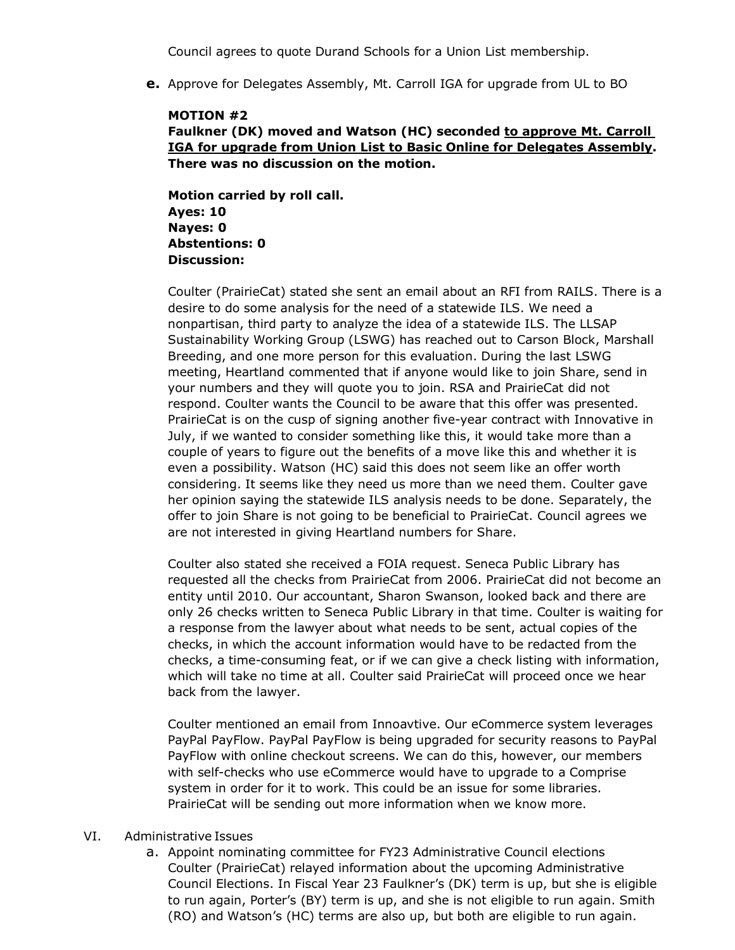Council agrees to quote Durand Schools for a Union List membership.

**e.** Approve for Delegates Assembly, Mt. Carroll IGA for upgrade from UL to BO

## **MOTION #2**

## **Faulkner (DK) moved and Watson (HC) seconded to approve Mt. Carroll IGA for upgrade from Union List to Basic Online for Delegates Assembly. There was no discussion on the motion.**

**Motion carried by roll call. Ayes: 10 Nayes: 0 Abstentions: 0 Discussion:**

Coulter (PrairieCat) stated she sent an email about an RFI from RAILS. There is a desire to do some analysis for the need of a statewide ILS. We need a nonpartisan, third party to analyze the idea of a statewide ILS. The LLSAP Sustainability Working Group (LSWG) has reached out to Carson Block, Marshall Breeding, and one more person for this evaluation. During the last LSWG meeting, Heartland commented that if anyone would like to join Share, send in your numbers and they will quote you to join. RSA and PrairieCat did not respond. Coulter wants the Council to be aware that this offer was presented. PrairieCat is on the cusp of signing another five-year contract with Innovative in July, if we wanted to consider something like this, it would take more than a couple of years to figure out the benefits of a move like this and whether it is even a possibility. Watson (HC) said this does not seem like an offer worth considering. It seems like they need us more than we need them. Coulter gave her opinion saying the statewide ILS analysis needs to be done. Separately, the offer to join Share is not going to be beneficial to PrairieCat. Council agrees we are not interested in giving Heartland numbers for Share.

Coulter also stated she received a FOIA request. Seneca Public Library has requested all the checks from PrairieCat from 2006. PrairieCat did not become an entity until 2010. Our accountant, Sharon Swanson, looked back and there are only 26 checks written to Seneca Public Library in that time. Coulter is waiting for a response from the lawyer about what needs to be sent, actual copies of the checks, in which the account information would have to be redacted from the checks, a time-consuming feat, or if we can give a check listing with information, which will take no time at all. Coulter said PrairieCat will proceed once we hear back from the lawyer.

Coulter mentioned an email from Innoavtive. Our eCommerce system leverages PayPal PayFlow. PayPal PayFlow is being upgraded for security reasons to PayPal PayFlow with online checkout screens. We can do this, however, our members with self-checks who use eCommerce would have to upgrade to a Comprise system in order for it to work. This could be an issue for some libraries. PrairieCat will be sending out more information when we know more.

#### VI. Administrative Issues

a. Appoint nominating committee for FY23 Administrative Council elections Coulter (PrairieCat) relayed information about the upcoming Administrative Council Elections. In Fiscal Year 23 Faulkner's (DK) term is up, but she is eligible to run again, Porter's (BY) term is up, and she is not eligible to run again. Smith (RO) and Watson's (HC) terms are also up, but both are eligible to run again.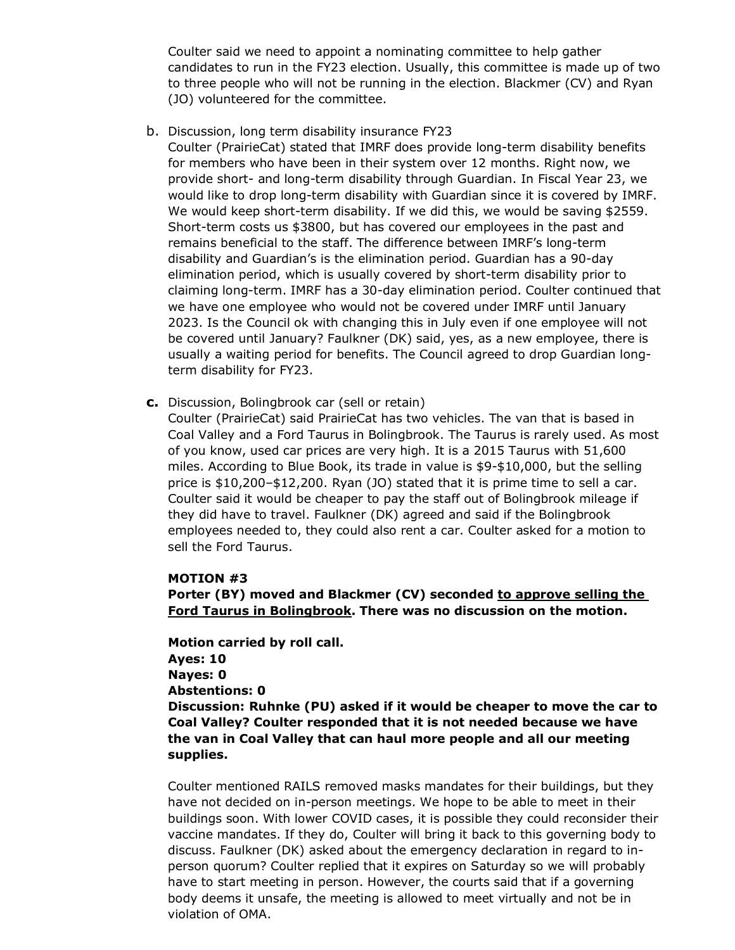Coulter said we need to appoint a nominating committee to help gather candidates to run in the FY23 election. Usually, this committee is made up of two to three people who will not be running in the election. Blackmer (CV) and Ryan (JO) volunteered for the committee.

b. Discussion, long term disability insurance FY23

Coulter (PrairieCat) stated that IMRF does provide long-term disability benefits for members who have been in their system over 12 months. Right now, we provide short- and long-term disability through Guardian. In Fiscal Year 23, we would like to drop long-term disability with Guardian since it is covered by IMRF. We would keep short-term disability. If we did this, we would be saving \$2559. Short-term costs us \$3800, but has covered our employees in the past and remains beneficial to the staff. The difference between IMRF's long-term disability and Guardian's is the elimination period. Guardian has a 90-day elimination period, which is usually covered by short-term disability prior to claiming long-term. IMRF has a 30-day elimination period. Coulter continued that we have one employee who would not be covered under IMRF until January 2023. Is the Council ok with changing this in July even if one employee will not be covered until January? Faulkner (DK) said, yes, as a new employee, there is usually a waiting period for benefits. The Council agreed to drop Guardian longterm disability for FY23.

**c.** Discussion, Bolingbrook car (sell or retain)

Coulter (PrairieCat) said PrairieCat has two vehicles. The van that is based in Coal Valley and a Ford Taurus in Bolingbrook. The Taurus is rarely used. As most of you know, used car prices are very high. It is a 2015 Taurus with 51,600 miles. According to Blue Book, its trade in value is \$9-\$10,000, but the selling price is \$10,200–\$12,200. Ryan (JO) stated that it is prime time to sell a car. Coulter said it would be cheaper to pay the staff out of Bolingbrook mileage if they did have to travel. Faulkner (DK) agreed and said if the Bolingbrook employees needed to, they could also rent a car. Coulter asked for a motion to sell the Ford Taurus.

#### **MOTION #3**

**Porter (BY) moved and Blackmer (CV) seconded to approve selling the Ford Taurus in Bolingbrook. There was no discussion on the motion.** 

**Motion carried by roll call. Ayes: 10 Nayes: 0 Abstentions: 0 Discussion: Ruhnke (PU) asked if it would be cheaper to move the car to Coal Valley? Coulter responded that it is not needed because we have the van in Coal Valley that can haul more people and all our meeting supplies.**

Coulter mentioned RAILS removed masks mandates for their buildings, but they have not decided on in-person meetings. We hope to be able to meet in their buildings soon. With lower COVID cases, it is possible they could reconsider their vaccine mandates. If they do, Coulter will bring it back to this governing body to discuss. Faulkner (DK) asked about the emergency declaration in regard to inperson quorum? Coulter replied that it expires on Saturday so we will probably have to start meeting in person. However, the courts said that if a governing body deems it unsafe, the meeting is allowed to meet virtually and not be in violation of OMA.